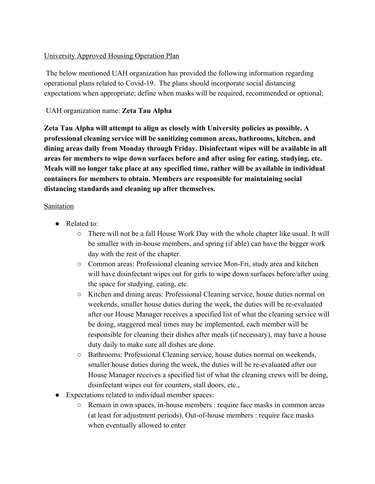#### University Approved Housing Operation Plan

 The below mentioned UAH organization has provided the following information regarding operational plans related to Covid-19. The plans should incorporate social distancing expectations when appropriate; define when masks will be required, recommended or optional;

## UAH organization name: **Zeta Tau Alpha**

**Zeta Tau Alpha will attempt to align as closely with University policies as possible. A professional cleaning service will be sanitizing common areas, bathrooms, kitchen, and dining areas daily from Monday through Friday. Disinfectant wipes will be available in all areas for members to wipe down surfaces before and after using for eating, studying, etc. Meals will no longer take place at any specified time, rather will be available in individual containers for members to obtain. Members are responsible for maintaining social distancing standards and cleaning up after themselves.**

#### Sanitation

- Related to:
	- There will not be a fall House Work Day with the whole chapter like usual. It will be smaller with in-house members, and spring (if able) can have the bigger work day with the rest of the chapter.
	- Common areas: Professional cleaning service Mon-Fri, study area and kitchen will have disinfectant wipes out for girls to wipe down surfaces before/after using the space for studying, eating, etc.
	- Kitchen and dining areas: Professional Cleaning service, house duties normal on weekends, smaller house duties during the week, the duties will be re-evaluated after our House Manager receives a specified list of what the cleaning service will be doing, staggered meal times may be implemented, each member will be responsible for cleaning their dishes after meals (if necessary), may have a house duty daily to make sure all dishes are done.
	- Bathrooms: Professional Cleaning service, house duties normal on weekends, smaller house duties during the week, the duties will be re-evaluated after our House Manager receives a specified list of what the cleaning crews will be doing, disinfectant wipes out for counters, stall doors, etc.,
- Expectations related to individual member spaces:
	- Remain in own spaces, in-house members : require face masks in common areas (at least for adjustment periods), Out-of-house members : require face masks when eventually allowed to enter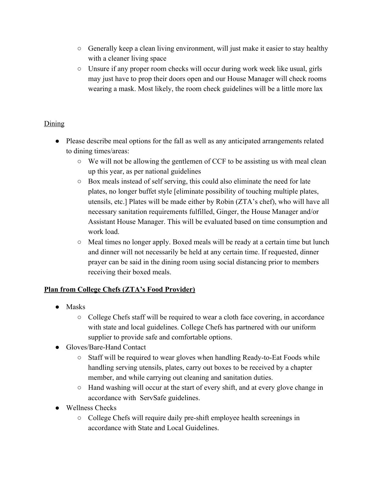- Generally keep a clean living environment, will just make it easier to stay healthy with a cleaner living space
- Unsure if any proper room checks will occur during work week like usual, girls may just have to prop their doors open and our House Manager will check rooms wearing a mask. Most likely, the room check guidelines will be a little more lax

# Dining

- Please describe meal options for the fall as well as any anticipated arrangements related to dining times/areas:
	- We will not be allowing the gentlemen of CCF to be assisting us with meal clean up this year, as per national guidelines
	- Box meals instead of self serving, this could also eliminate the need for late plates, no longer buffet style [eliminate possibility of touching multiple plates, utensils, etc.] Plates will be made either by Robin (ZTA's chef), who will have all necessary sanitation requirements fulfilled, Ginger, the House Manager and/or Assistant House Manager. This will be evaluated based on time consumption and work load.
	- Meal times no longer apply. Boxed meals will be ready at a certain time but lunch and dinner will not necessarily be held at any certain time. If requested, dinner prayer can be said in the dining room using social distancing prior to members receiving their boxed meals.

## **Plan from College Chefs (ZTA's Food Provider)**

- Masks
	- College Chefs staff will be required to wear a cloth face covering, in accordance with state and local guidelines. College Chefs has partnered with our uniform supplier to provide safe and comfortable options.
- Gloves/Bare-Hand Contact
	- Staff will be required to wear gloves when handling Ready-to-Eat Foods while handling serving utensils, plates, carry out boxes to be received by a chapter member, and while carrying out cleaning and sanitation duties.
	- Hand washing will occur at the start of every shift, and at every glove change in accordance with ServSafe guidelines.
- Wellness Checks
	- College Chefs will require daily pre-shift employee health screenings in accordance with State and Local Guidelines.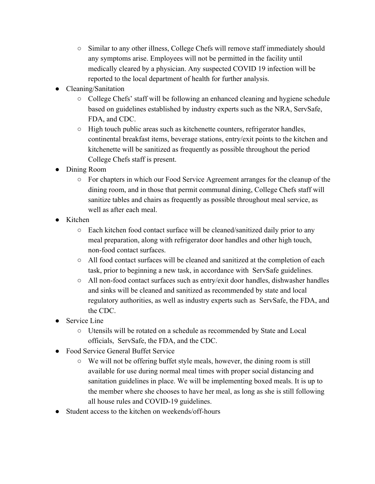- Similar to any other illness, College Chefs will remove staff immediately should any symptoms arise. Employees will not be permitted in the facility until medically cleared by a physician. Any suspected COVID 19 infection will be reported to the local department of health for further analysis.
- Cleaning/Sanitation
	- College Chefs' staff will be following an enhanced cleaning and hygiene schedule based on guidelines established by industry experts such as the NRA, ServSafe, FDA, and CDC.
	- High touch public areas such as kitchenette counters, refrigerator handles, continental breakfast items, beverage stations, entry/exit points to the kitchen and kitchenette will be sanitized as frequently as possible throughout the period College Chefs staff is present.
- Dining Room
	- For chapters in which our Food Service Agreement arranges for the cleanup of the dining room, and in those that permit communal dining, College Chefs staff will sanitize tables and chairs as frequently as possible throughout meal service, as well as after each meal.
- Kitchen
	- Each kitchen food contact surface will be cleaned/sanitized daily prior to any meal preparation, along with refrigerator door handles and other high touch, non-food contact surfaces.
	- All food contact surfaces will be cleaned and sanitized at the completion of each task, prior to beginning a new task, in accordance with ServSafe guidelines.
	- All non-food contact surfaces such as entry/exit door handles, dishwasher handles and sinks will be cleaned and sanitized as recommended by state and local regulatory authorities, as well as industry experts such as ServSafe, the FDA, and the CDC.
- $\bullet$  Service Line
	- Utensils will be rotated on a schedule as recommended by State and Local officials, ServSafe, the FDA, and the CDC.
- Food Service General Buffet Service
	- $\circ$  We will not be offering buffet style meals, however, the dining room is still available for use during normal meal times with proper social distancing and sanitation guidelines in place. We will be implementing boxed meals. It is up to the member where she chooses to have her meal, as long as she is still following all house rules and COVID-19 guidelines.
- Student access to the kitchen on weekends/off-hours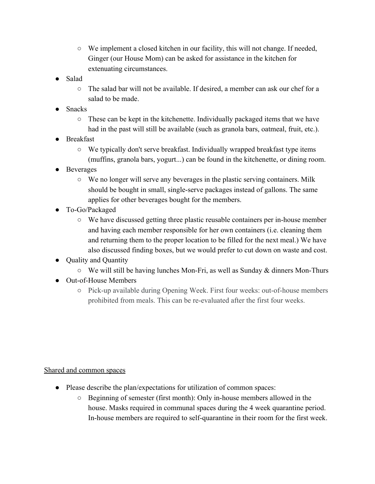- $\circ$  We implement a closed kitchen in our facility, this will not change. If needed, Ginger (our House Mom) can be asked for assistance in the kitchen for extenuating circumstances.
- Salad
	- The salad bar will not be available. If desired, a member can ask our chef for a salad to be made.
- **Snacks** 
	- $\circ$  These can be kept in the kitchenette. Individually packaged items that we have had in the past will still be available (such as granola bars, oatmeal, fruit, etc.).
- Breakfast
	- We typically don't serve breakfast. Individually wrapped breakfast type items (muffins, granola bars, yogurt...) can be found in the kitchenette, or dining room.
- **Beverages** 
	- We no longer will serve any beverages in the plastic serving containers. Milk should be bought in small, single-serve packages instead of gallons. The same applies for other beverages bought for the members.
- To-Go/Packaged
	- We have discussed getting three plastic reusable containers per in-house member and having each member responsible for her own containers (i.e. cleaning them and returning them to the proper location to be filled for the next meal.) We have also discussed finding boxes, but we would prefer to cut down on waste and cost.
- Quality and Quantity
	- $\circ$  We will still be having lunches Mon-Fri, as well as Sunday & dinners Mon-Thurs
- Out-of-House Members
	- Pick-up available during Opening Week. First four weeks: out-of-house members prohibited from meals. This can be re-evaluated after the first four weeks.

## Shared and common spaces

- Please describe the plan/expectations for utilization of common spaces:
	- Beginning of semester (first month): Only in-house members allowed in the house. Masks required in communal spaces during the 4 week quarantine period. In-house members are required to self-quarantine in their room for the first week.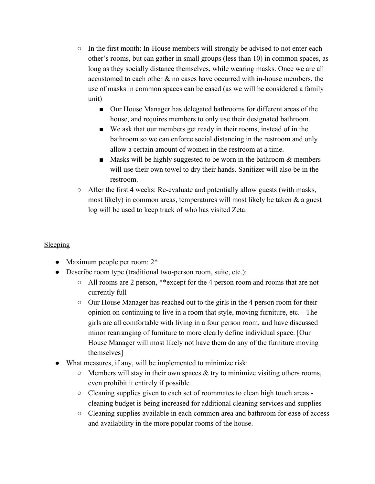- $\circ$  In the first month: In-House members will strongly be advised to not enter each other's rooms, but can gather in small groups (less than 10) in common spaces, as long as they socially distance themselves, while wearing masks. Once we are all accustomed to each other & no cases have occurred with in-house members, the use of masks in common spaces can be eased (as we will be considered a family unit)
	- Our House Manager has delegated bathrooms for different areas of the house, and requires members to only use their designated bathroom.
	- We ask that our members get ready in their rooms, instead of in the bathroom so we can enforce social distancing in the restroom and only allow a certain amount of women in the restroom at a time.
	- **■** Masks will be highly suggested to be worn in the bathroom  $\&$  members will use their own towel to dry their hands. Sanitizer will also be in the restroom.
- $\circ$  After the first 4 weeks: Re-evaluate and potentially allow guests (with masks, most likely) in common areas, temperatures will most likely be taken  $\&$  a guest log will be used to keep track of who has visited Zeta.

#### Sleeping

- Maximum people per room:  $2^*$
- Describe room type (traditional two-person room, suite, etc.):
	- All rooms are 2 person, \*\*except for the 4 person room and rooms that are not currently full
	- Our House Manager has reached out to the girls in the 4 person room for their opinion on continuing to live in a room that style, moving furniture, etc. - The girls are all comfortable with living in a four person room, and have discussed minor rearranging of furniture to more clearly define individual space. [Our House Manager will most likely not have them do any of the furniture moving themselves]
- What measures, if any, will be implemented to minimize risk:
	- $\circ$  Members will stay in their own spaces & try to minimize visiting others rooms, even prohibit it entirely if possible
	- Cleaning supplies given to each set of roommates to clean high touch areas cleaning budget is being increased for additional cleaning services and supplies
	- Cleaning supplies available in each common area and bathroom for ease of access and availability in the more popular rooms of the house.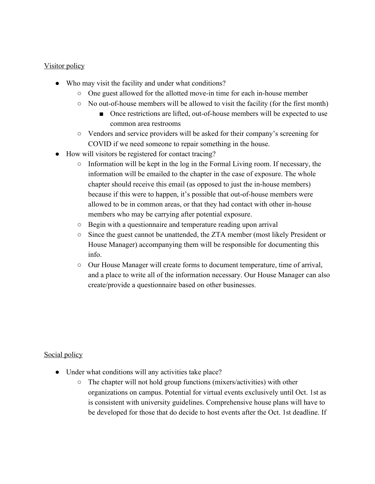#### Visitor policy

- Who may visit the facility and under what conditions?
	- One guest allowed for the allotted move-in time for each in-house member
	- No out-of-house members will be allowed to visit the facility (for the first month)
		- Once restrictions are lifted, out-of-house members will be expected to use common area restrooms
	- Vendors and service providers will be asked for their company's screening for COVID if we need someone to repair something in the house.
- How will visitors be registered for contact tracing?
	- Information will be kept in the log in the Formal Living room. If necessary, the information will be emailed to the chapter in the case of exposure. The whole chapter should receive this email (as opposed to just the in-house members) because if this were to happen, it's possible that out-of-house members were allowed to be in common areas, or that they had contact with other in-house members who may be carrying after potential exposure.
	- Begin with a questionnaire and temperature reading upon arrival
	- Since the guest cannot be unattended, the ZTA member (most likely President or House Manager) accompanying them will be responsible for documenting this info.
	- Our House Manager will create forms to document temperature, time of arrival, and a place to write all of the information necessary. Our House Manager can also create/provide a questionnaire based on other businesses.

Social policy

- Under what conditions will any activities take place?
	- The chapter will not hold group functions (mixers/activities) with other organizations on campus. Potential for virtual events exclusively until Oct. 1st as is consistent with university guidelines. Comprehensive house plans will have to be developed for those that do decide to host events after the Oct. 1st deadline. If